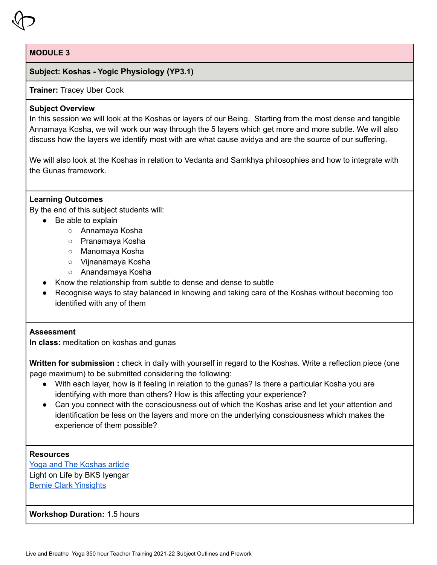

# **Subject: Koshas - Yogic Physiology (YP3.1)**

### **Trainer:** Tracey Uber Cook

## **Subject Overview**

In this session we will look at the Koshas or layers of our Being. Starting from the most dense and tangible Annamaya Kosha, we will work our way through the 5 layers which get more and more subtle. We will also discuss how the layers we identify most with are what cause avidya and are the source of our suffering.

We will also look at the Koshas in relation to Vedanta and Samkhya philosophies and how to integrate with the Gunas framework.

# **Learning Outcomes**

By the end of this subject students will:

- Be able to explain
	- Annamaya Kosha
	- Pranamaya Kosha
	- Manomaya Kosha
	- Vijnanamaya Kosha
	- Anandamaya Kosha
- Know the relationship from subtle to dense and dense to subtle
- Recognise ways to stay balanced in knowing and taking care of the Koshas without becoming too identified with any of them

### **Assessment**

**In class:** meditation on koshas and gunas

**Written for submission :** check in daily with yourself in regard to the Koshas. Write a reflection piece (one page maximum) to be submitted considering the following:

- With each layer, how is it feeling in relation to the gunas? Is there a particular Kosha you are identifying with more than others? How is this affecting your experience?
- Can you connect with the consciousness out of which the Koshas arise and let your attention and identification be less on the layers and more on the underlying consciousness which makes the experience of them possible?

### **Resources**

Yoga and The [Koshas](https://www.ekhartyoga.com/articles/practice/yoga-and-the-koshas-the-layers-of-being) article Light on Life by BKS Iyengar Bernie Clark [Yinsights](https://yinyoga.com/yinsights/the-kosha-model/)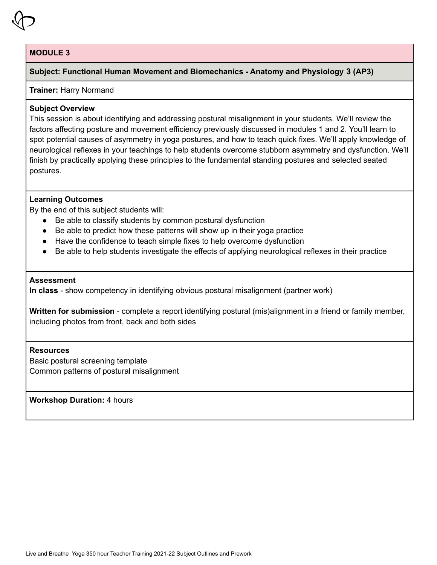#### **Subject: Functional Human Movement and Biomechanics - Anatomy and Physiology 3 (AP3)**

#### **Trainer:** Harry Normand

#### **Subject Overview**

This session is about identifying and addressing postural misalignment in your students. We'll review the factors affecting posture and movement efficiency previously discussed in modules 1 and 2. You'll learn to spot potential causes of asymmetry in yoga postures, and how to teach quick fixes. We'll apply knowledge of neurological reflexes in your teachings to help students overcome stubborn asymmetry and dysfunction. We'll finish by practically applying these principles to the fundamental standing postures and selected seated postures.

### **Learning Outcomes**

By the end of this subject students will:

- Be able to classify students by common postural dysfunction
- Be able to predict how these patterns will show up in their yoga practice
- Have the confidence to teach simple fixes to help overcome dysfunction
- Be able to help students investigate the effects of applying neurological reflexes in their practice

#### **Assessment**

**In class** - show competency in identifying obvious postural misalignment (partner work)

**Written for submission** - complete a report identifying postural (mis)alignment in a friend or family member, including photos from front, back and both sides

#### **Resources**

Basic postural screening template Common patterns of postural misalignment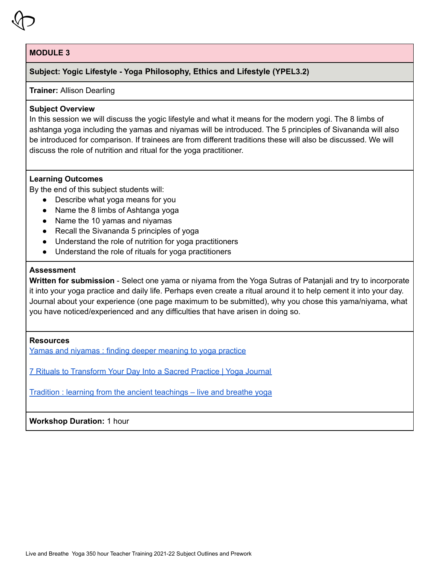### **Subject: Yogic Lifestyle - Yoga Philosophy, Ethics and Lifestyle (YPEL3.2)**

# **Trainer:** Allison Dearling

#### **Subject Overview**

In this session we will discuss the yogic lifestyle and what it means for the modern yogi. The 8 limbs of ashtanga yoga including the yamas and niyamas will be introduced. The 5 principles of Sivananda will also be introduced for comparison. If trainees are from different traditions these will also be discussed. We will discuss the role of nutrition and ritual for the yoga practitioner.

#### **Learning Outcomes**

By the end of this subject students will:

- Describe what yoga means for you
- Name the 8 limbs of Ashtanga yoga
- Name the 10 yamas and niyamas
- Recall the Sivananda 5 principles of yoga
- Understand the role of nutrition for yoga practitioners
- Understand the role of rituals for yoga practitioners

# **Assessment**

**Written for submission** - Select one yama or niyama from the Yoga Sutras of Patanjali and try to incorporate it into your yoga practice and daily life. Perhaps even create a ritual around it to help cement it into your day. Journal about your experience (one page maximum to be submitted), why you chose this yama/niyama, what you have noticed/experienced and any difficulties that have arisen in doing so.

### **Resources**

Yamas and niyamas : finding deeper [meaning](https://liveandbreatheyoga.com.au/yamas-and-niyamas-finding-deeper-meaning-to-yoga-practice/) to yoga practice

7 Rituals to [Transform](https://www.yogajournal.com/lifestyle/balance/7-rituals-to-transform-your-day-into-a-sacred-practice/) Your Day Into a Sacred Practice | Yoga Journal

Tradition : learning from the ancient [teachings](https://liveandbreatheyoga.com.au/tradition-learning-from-the-ancient-teachings/) – live and breathe yoga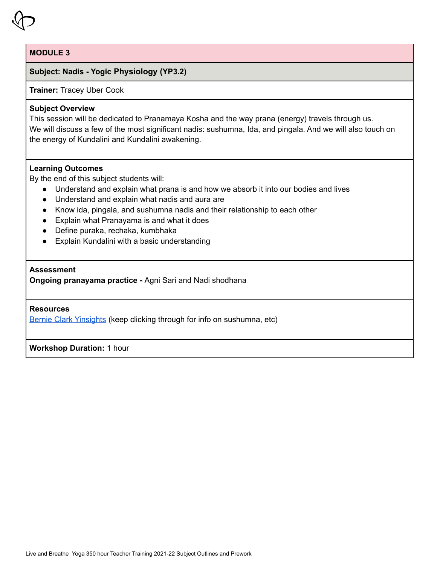

## **Subject: Nadis - Yogic Physiology (YP3.2)**

**Trainer:** Tracey Uber Cook

# **Subject Overview**

This session will be dedicated to Pranamaya Kosha and the way prana (energy) travels through us. We will discuss a few of the most significant nadis: sushumna, Ida, and pingala. And we will also touch on the energy of Kundalini and Kundalini awakening.

### **Learning Outcomes**

By the end of this subject students will:

- Understand and explain what prana is and how we absorb it into our bodies and lives
- Understand and explain what nadis and aura are
- Know ida, pingala, and sushumna nadis and their relationship to each other
- Explain what Pranayama is and what it does
- Define puraka, rechaka, kumbhaka
- Explain Kundalini with a basic understanding

### **Assessment**

**Ongoing pranayama practice -** Agni Sari and Nadi shodhana

## **Resources**

Bernie Clark [Yinsights](https://yinyoga.com/yinsights/the-nadis/) (keep clicking through for info on sushumna, etc)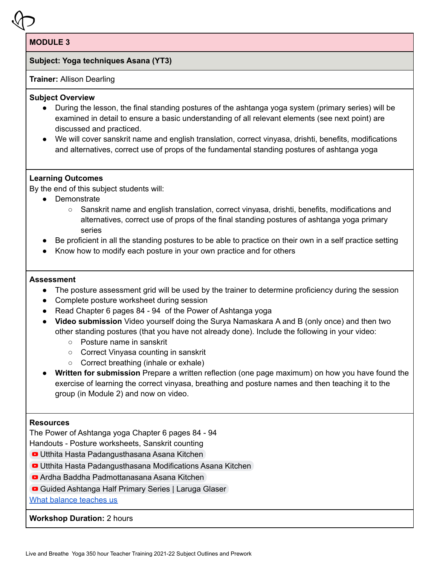# **Subject: Yoga techniques Asana (YT3)**

# **Trainer:** Allison Dearling

# **Subject Overview**

- During the lesson, the final standing postures of the ashtanga yoga system (primary series) will be examined in detail to ensure a basic understanding of all relevant elements (see next point) are discussed and practiced.
- We will cover sanskrit name and english translation, correct vinyasa, drishti, benefits, modifications and alternatives, correct use of props of the fundamental standing postures of ashtanga yoga

# **Learning Outcomes**

By the end of this subject students will:

- Demonstrate
	- Sanskrit name and english translation, correct vinyasa, drishti, benefits, modifications and alternatives, correct use of props of the final standing postures of ashtanga yoga primary series
- Be proficient in all the standing postures to be able to practice on their own in a self practice setting
- Know how to modify each posture in your own practice and for others

# **Assessment**

- The posture assessment grid will be used by the trainer to determine proficiency during the session
- Complete posture worksheet during session
- Read Chapter 6 pages 84 94 of the Power of Ashtanga yoga
- **Video submission** Video yourself doing the Surya Namaskara A and B (only once) and then two other standing postures (that you have not already done). Include the following in your video:
	- Posture name in sanskrit
	- Correct Vinyasa counting in sanskrit
	- Correct breathing (inhale or exhale)
- **Written for submission** Prepare a written reflection (one page maximum) on how you have found the exercise of learning the correct vinyasa, breathing and posture names and then teaching it to the group (in Module 2) and now on video.

### **Resources**

The Power of Ashtanga yoga Chapter 6 pages 84 - 94

Handouts - Posture worksheets, Sanskrit counting

- Utthita Hasta [Padangusthasana](https://www.youtube.com/watch?v=9LMlHiU5wi0) Asana Kitchen
- **D** Utthita Hasta [Padangusthasana](https://www.youtube.com/watch?v=zn1EJtkR7mg) Modifications Asana Kitchen
- Ardha Baddha [Padmottanasana](https://www.youtube.com/watch?v=O0a5nCQLiGU) Asana Kitchen
- Guided [Ashtanga](https://www.youtube.com/watch?v=hW9mu7rEfQ4) Half Primary Series | Laruga Glaser

What [balance](https://www.yogajournal.com/lifestyle/plumb-perfect/) teaches us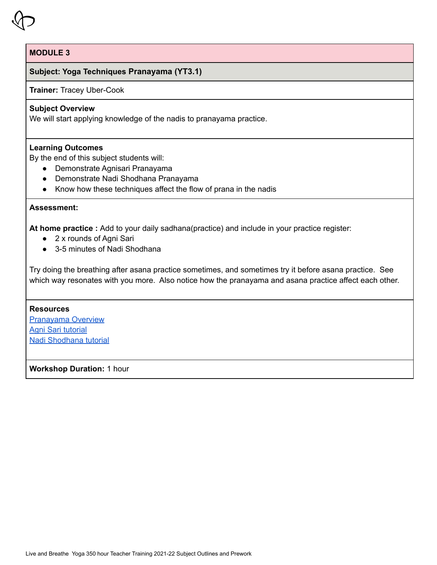

## **Subject: Yoga Techniques Pranayama (YT3.1)**

**Trainer:** Tracey Uber-Cook

# **Subject Overview**

We will start applying knowledge of the nadis to pranayama practice.

# **Learning Outcomes**

By the end of this subject students will:

- Demonstrate Agnisari Pranayama
- Demonstrate Nadi Shodhana Pranayama
- Know how these techniques affect the flow of prana in the nadis

### **Assessment:**

**At home practice :** Add to your daily sadhana(practice) and include in your practice register:

- 2 x rounds of Agni Sari
- 3-5 minutes of Nadi Shodhana

Try doing the breathing after asana practice sometimes, and sometimes try it before asana practice. See which way resonates with you more. Also notice how the pranayama and asana practice affect each other.

## **Resources**

[Pranayama](https://youtu.be/YOu9KlVdG4Y) Overview Agni Sari [tutorial](https://youtu.be/5Clc0_kFYsU) Nadi [Shodhana](https://youtu.be/Y0G5J7_TulU) tutorial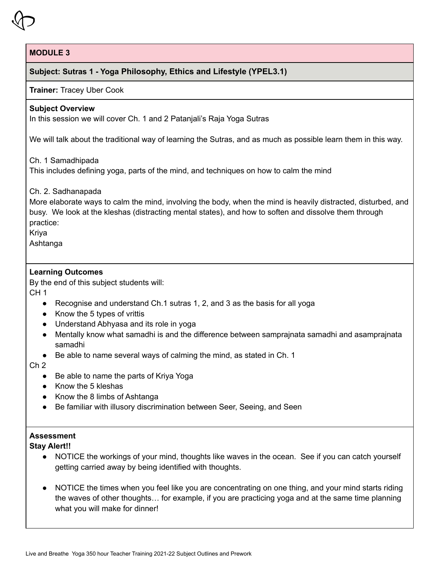# **Subject: Sutras 1 - Yoga Philosophy, Ethics and Lifestyle (YPEL3.1)**

**Trainer:** Tracey Uber Cook

## **Subject Overview**

In this session we will cover Ch. 1 and 2 Patanjali's Raja Yoga Sutras

We will talk about the traditional way of learning the Sutras, and as much as possible learn them in this way.

### Ch. 1 Samadhipada

This includes defining yoga, parts of the mind, and techniques on how to calm the mind

### Ch. 2. Sadhanapada

More elaborate ways to calm the mind, involving the body, when the mind is heavily distracted, disturbed, and busy. We look at the kleshas (distracting mental states), and how to soften and dissolve them through practice:

Kriya

Ashtanga

### **Learning Outcomes**

By the end of this subject students will:

CH 1

- Recognise and understand Ch.1 sutras 1, 2, and 3 as the basis for all yoga
- Know the 5 types of vrittis
- Understand Abhyasa and its role in yoga
- Mentally know what samadhi is and the difference between samprajnata samadhi and asamprajnata samadhi
- $\bullet$  Be able to name several ways of calming the mind, as stated in Ch. 1

 $Ch<sub>2</sub>$ 

- Be able to name the parts of Kriya Yoga
- Know the 5 kleshas
- Know the 8 limbs of Ashtanga
- Be familiar with illusory discrimination between Seer, Seeing, and Seen

# **Assessment**

**Stay Alert!!**

- NOTICE the workings of your mind, thoughts like waves in the ocean. See if you can catch yourself getting carried away by being identified with thoughts.
- NOTICE the times when you feel like you are concentrating on one thing, and your mind starts riding the waves of other thoughts… for example, if you are practicing yoga and at the same time planning what you will make for dinner!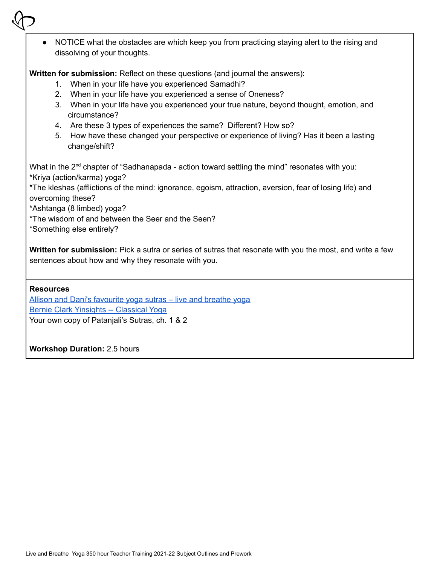• NOTICE what the obstacles are which keep you from practicing staying alert to the rising and dissolving of your thoughts. **Written for submission:** Reflect on these questions (and journal the answers): 1. When in your life have you experienced Samadhi? 2. When in your life have you experienced a sense of Oneness? 3. When in your life have you experienced your true nature, beyond thought, emotion, and circumstance? 4. Are these 3 types of experiences the same? Different? How so? 5. How have these changed your perspective or experience of living? Has it been a lasting change/shift? What in the 2<sup>nd</sup> chapter of "Sadhanapada - action toward settling the mind" resonates with you: \*Kriya (action/karma) yoga? \*The kleshas (afflictions of the mind: ignorance, egoism, attraction, aversion, fear of losing life) and overcoming these? \*Ashtanga (8 limbed) yoga? \*The wisdom of and between the Seer and the Seen? \*Something else entirely? **Written for submission:** Pick a sutra or series of sutras that resonate with you the most, and write a few sentences about how and why they resonate with you.

**Resources**

Allison and Dani's [favourite](https://liveandbreatheyoga.com.au/allison-and-danis-favourite-yoga-sutras/) yoga sutras – live and breathe yoga Bernie Clark [Yinsights](https://yinyoga.com/yinsights/classical-yoga/) -- Classical Yoga Your own copy of Patanjali's Sutras, ch. 1 & 2